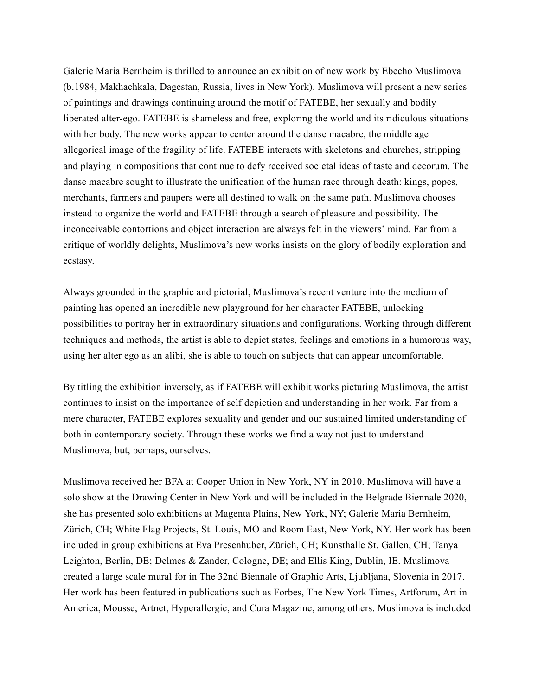Galerie Maria Bernheim is thrilled to announce an exhibition of new work by Ebecho Muslimova (b.1984, Makhachkala, Dagestan, Russia, lives in New York). Muslimova will present a new series of paintings and drawings continuing around the motif of FATEBE, her sexually and bodily liberated alter-ego. FATEBE is shameless and free, exploring the world and its ridiculous situations with her body. The new works appear to center around the danse macabre, the middle age allegorical image of the fragility of life. FATEBE interacts with skeletons and churches, stripping and playing in compositions that continue to defy received societal ideas of taste and decorum. The danse macabre sought to illustrate the unification of the human race through death: kings, popes, merchants, farmers and paupers were all destined to walk on the same path. Muslimova chooses instead to organize the world and FATEBE through a search of pleasure and possibility. The inconceivable contortions and object interaction are always felt in the viewers' mind. Far from a critique of worldly delights, Muslimova's new works insists on the glory of bodily exploration and ecstasy.

Always grounded in the graphic and pictorial, Muslimova's recent venture into the medium of painting has opened an incredible new playground for her character FATEBE, unlocking possibilities to portray her in extraordinary situations and configurations. Working through different techniques and methods, the artist is able to depict states, feelings and emotions in a humorous way, using her alter ego as an alibi, she is able to touch on subjects that can appear uncomfortable.

By titling the exhibition inversely, as if FATEBE will exhibit works picturing Muslimova, the artist continues to insist on the importance of self depiction and understanding in her work. Far from a mere character, FATEBE explores sexuality and gender and our sustained limited understanding of both in contemporary society. Through these works we find a way not just to understand Muslimova, but, perhaps, ourselves.

Muslimova received her BFA at Cooper Union in New York, NY in 2010. Muslimova will have a solo show at the Drawing Center in New York and will be included in the Belgrade Biennale 2020, she has presented solo exhibitions at Magenta Plains, New York, NY; Galerie Maria Bernheim, Zürich, CH; White Flag Projects, St. Louis, MO and Room East, New York, NY. Her work has been included in group exhibitions at Eva Presenhuber, Zürich, CH; Kunsthalle St. Gallen, CH; Tanya Leighton, Berlin, DE; Delmes & Zander, Cologne, DE; and Ellis King, Dublin, IE. Muslimova created a large scale mural for in The 32nd Biennale of Graphic Arts, Ljubljana, Slovenia in 2017. Her work has been featured in publications such as Forbes, The New York Times, Artforum, Art in America, Mousse, Artnet, Hyperallergic, and Cura Magazine, among others. Muslimova is included